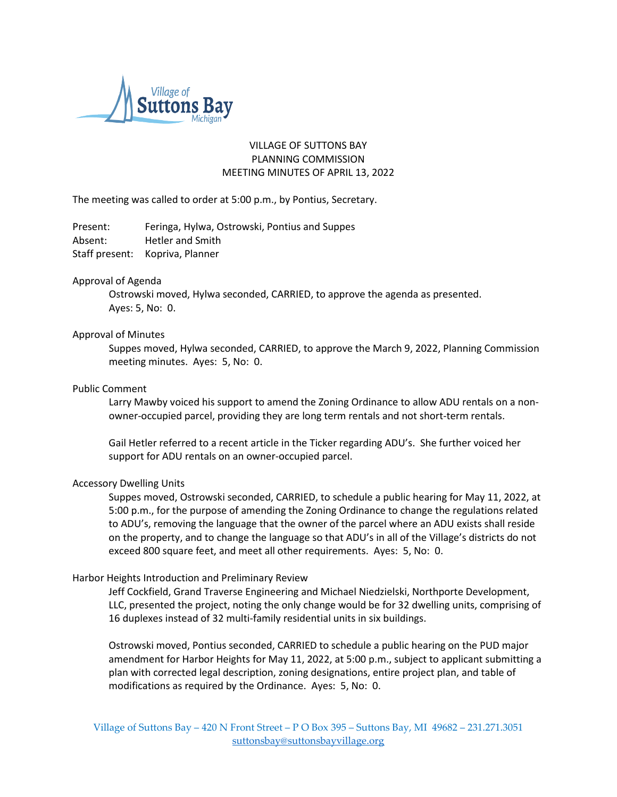

# VILLAGE OF SUTTONS BAY PLANNING COMMISSION MEETING MINUTES OF APRIL 13, 2022

The meeting was called to order at 5:00 p.m., by Pontius, Secretary.

Present: Feringa, Hylwa, Ostrowski, Pontius and Suppes Absent: Hetler and Smith Staff present: Kopriva, Planner

## Approval of Agenda

Ostrowski moved, Hylwa seconded, CARRIED, to approve the agenda as presented. Ayes: 5, No: 0.

## Approval of Minutes

Suppes moved, Hylwa seconded, CARRIED, to approve the March 9, 2022, Planning Commission meeting minutes. Ayes: 5, No: 0.

## Public Comment

Larry Mawby voiced his support to amend the Zoning Ordinance to allow ADU rentals on a nonowner-occupied parcel, providing they are long term rentals and not short-term rentals.

Gail Hetler referred to a recent article in the Ticker regarding ADU's. She further voiced her support for ADU rentals on an owner-occupied parcel.

## Accessory Dwelling Units

Suppes moved, Ostrowski seconded, CARRIED, to schedule a public hearing for May 11, 2022, at 5:00 p.m., for the purpose of amending the Zoning Ordinance to change the regulations related to ADU's, removing the language that the owner of the parcel where an ADU exists shall reside on the property, and to change the language so that ADU's in all of the Village's districts do not exceed 800 square feet, and meet all other requirements. Ayes: 5, No: 0.

## Harbor Heights Introduction and Preliminary Review

Jeff Cockfield, Grand Traverse Engineering and Michael Niedzielski, Northporte Development, LLC, presented the project, noting the only change would be for 32 dwelling units, comprising of 16 duplexes instead of 32 multi-family residential units in six buildings.

Ostrowski moved, Pontius seconded, CARRIED to schedule a public hearing on the PUD major amendment for Harbor Heights for May 11, 2022, at 5:00 p.m., subject to applicant submitting a plan with corrected legal description, zoning designations, entire project plan, and table of modifications as required by the Ordinance. Ayes: 5, No: 0.